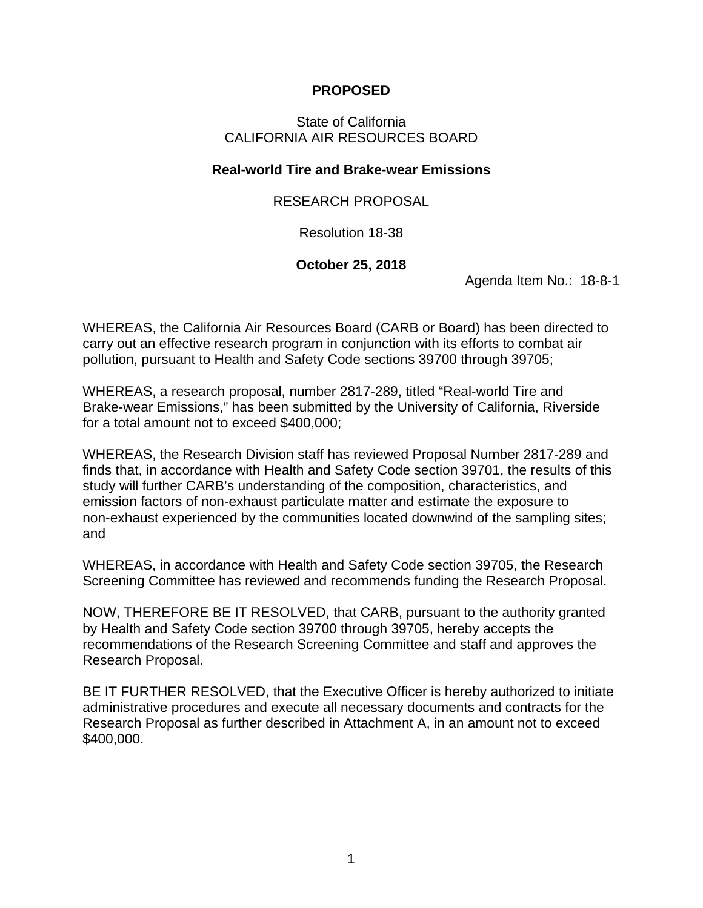## **PROPOSED**

## State of California CALIFORNIA AIR RESOURCES BOARD

## **Real-world Tire and Brake-wear Emissions**

## RESEARCH PROPOSAL

Resolution 18-38

## **October 25, 2018**

Agenda Item No.: 18-8-1

WHEREAS, the California Air Resources Board (CARB or Board) has been directed to carry out an effective research program in conjunction with its efforts to combat air pollution, pursuant to Health and Safety Code sections 39700 through 39705;

WHEREAS, a research proposal, number 2817-289, titled "Real-world Tire and Brake-wear Emissions," has been submitted by the University of California, Riverside for a total amount not to exceed \$400,000;

WHEREAS, the Research Division staff has reviewed Proposal Number 2817-289 and finds that, in accordance with Health and Safety Code section 39701, the results of this study will further CARB's understanding of the composition, characteristics, and emission factors of non-exhaust particulate matter and estimate the exposure to non-exhaust experienced by the communities located downwind of the sampling sites; and

WHEREAS, in accordance with Health and Safety Code section 39705, the Research Screening Committee has reviewed and recommends funding the Research Proposal.

NOW, THEREFORE BE IT RESOLVED, that CARB, pursuant to the authority granted by Health and Safety Code section 39700 through 39705, hereby accepts the recommendations of the Research Screening Committee and staff and approves the Research Proposal.

BE IT FURTHER RESOLVED, that the Executive Officer is hereby authorized to initiate administrative procedures and execute all necessary documents and contracts for the Research Proposal as further described in Attachment A, in an amount not to exceed \$400,000.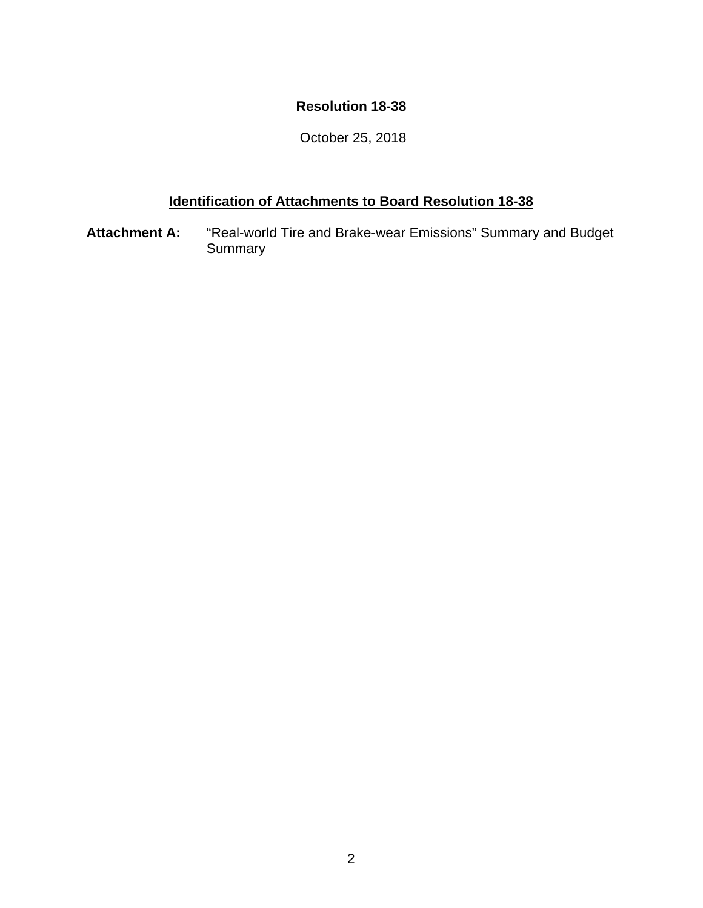## **Resolution 18-38**

October 25, 2018

## **Identification of Attachments to Board Resolution 18-38**

**Attachment A:** "Real-world Tire and Brake-wear Emissions" Summary and Budget Summary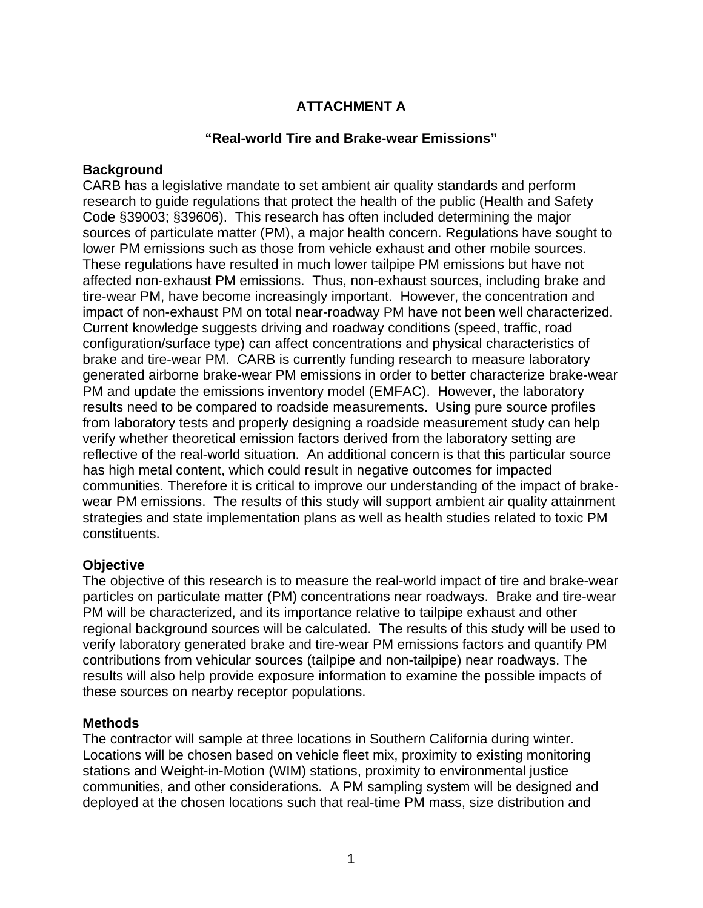## **ATTACHMENT A**

### **"Real-world Tire and Brake-wear Emissions"**

#### **Background**

CARB has a legislative mandate to set ambient air quality standards and perform research to guide regulations that protect the health of the public (Health and Safety Code §39003; §39606). This research has often included determining the major sources of particulate matter (PM), a major health concern. Regulations have sought to lower PM emissions such as those from vehicle exhaust and other mobile sources. These regulations have resulted in much lower tailpipe PM emissions but have not affected non-exhaust PM emissions. Thus, non-exhaust sources, including brake and tire-wear PM, have become increasingly important. However, the concentration and impact of non-exhaust PM on total near-roadway PM have not been well characterized. Current knowledge suggests driving and roadway conditions (speed, traffic, road configuration/surface type) can affect concentrations and physical characteristics of brake and tire-wear PM. CARB is currently funding research to measure laboratory generated airborne brake-wear PM emissions in order to better characterize brake-wear PM and update the emissions inventory model (EMFAC). However, the laboratory results need to be compared to roadside measurements. Using pure source profiles from laboratory tests and properly designing a roadside measurement study can help verify whether theoretical emission factors derived from the laboratory setting are reflective of the real-world situation. An additional concern is that this particular source has high metal content, which could result in negative outcomes for impacted communities. Therefore it is critical to improve our understanding of the impact of brakewear PM emissions. The results of this study will support ambient air quality attainment strategies and state implementation plans as well as health studies related to toxic PM constituents.

## **Objective**

The objective of this research is to measure the real-world impact of tire and brake-wear particles on particulate matter (PM) concentrations near roadways. Brake and tire-wear PM will be characterized, and its importance relative to tailpipe exhaust and other regional background sources will be calculated. The results of this study will be used to verify laboratory generated brake and tire-wear PM emissions factors and quantify PM contributions from vehicular sources (tailpipe and non-tailpipe) near roadways. The results will also help provide exposure information to examine the possible impacts of these sources on nearby receptor populations.

#### **Methods**

The contractor will sample at three locations in Southern California during winter. Locations will be chosen based on vehicle fleet mix, proximity to existing monitoring stations and Weight-in-Motion (WIM) stations, proximity to environmental justice communities, and other considerations. A PM sampling system will be designed and deployed at the chosen locations such that real-time PM mass, size distribution and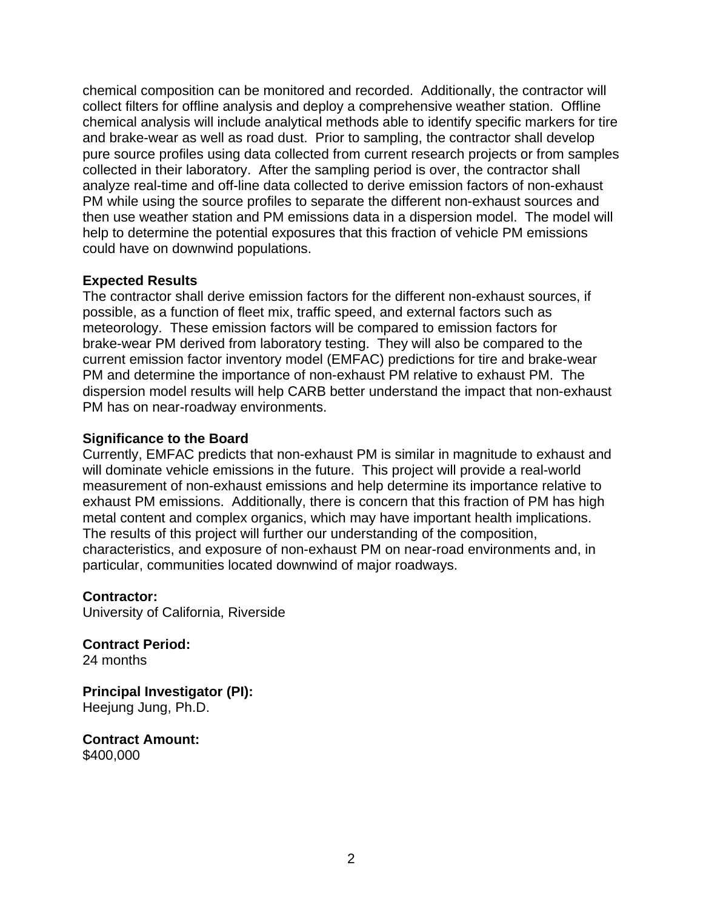chemical composition can be monitored and recorded. Additionally, the contractor will collect filters for offline analysis and deploy a comprehensive weather station. Offline chemical analysis will include analytical methods able to identify specific markers for tire and brake-wear as well as road dust. Prior to sampling, the contractor shall develop pure source profiles using data collected from current research projects or from samples collected in their laboratory. After the sampling period is over, the contractor shall analyze real-time and off-line data collected to derive emission factors of non-exhaust PM while using the source profiles to separate the different non-exhaust sources and then use weather station and PM emissions data in a dispersion model. The model will help to determine the potential exposures that this fraction of vehicle PM emissions could have on downwind populations.

## **Expected Results**

The contractor shall derive emission factors for the different non-exhaust sources, if possible, as a function of fleet mix, traffic speed, and external factors such as meteorology. These emission factors will be compared to emission factors for brake-wear PM derived from laboratory testing. They will also be compared to the current emission factor inventory model (EMFAC) predictions for tire and brake-wear PM and determine the importance of non-exhaust PM relative to exhaust PM. The dispersion model results will help CARB better understand the impact that non-exhaust PM has on near-roadway environments.

## **Significance to the Board**

Currently, EMFAC predicts that non-exhaust PM is similar in magnitude to exhaust and will dominate vehicle emissions in the future. This project will provide a real-world measurement of non-exhaust emissions and help determine its importance relative to exhaust PM emissions. Additionally, there is concern that this fraction of PM has high metal content and complex organics, which may have important health implications. The results of this project will further our understanding of the composition, characteristics, and exposure of non-exhaust PM on near-road environments and, in particular, communities located downwind of major roadways.

## **Contractor:**

University of California, Riverside

**Contract Period:** 24 months

**Principal Investigator (PI):** Heejung Jung, Ph.D.

**Contract Amount:** \$400,000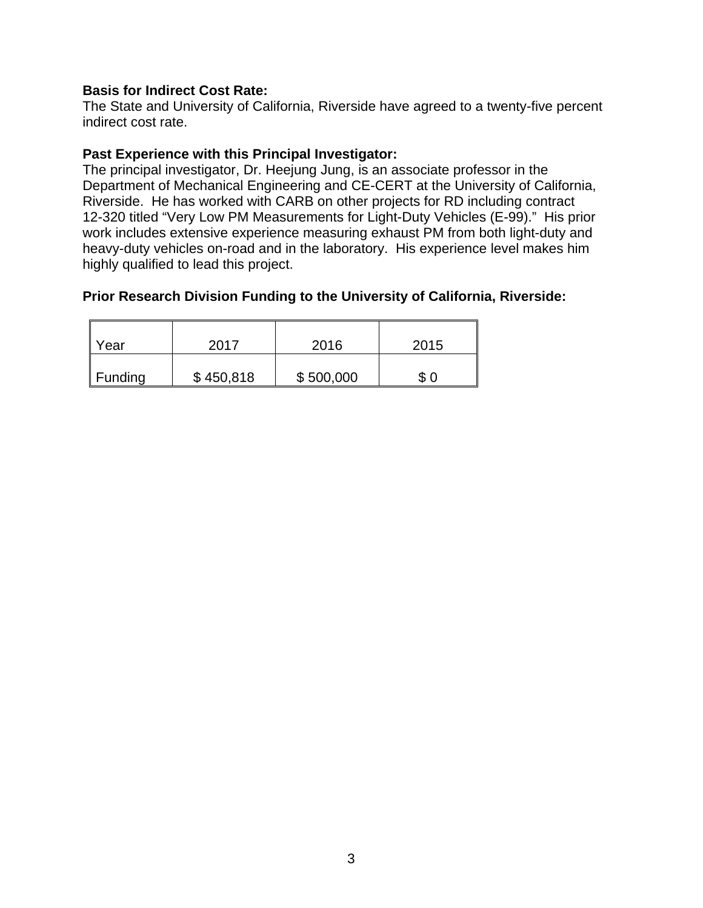## **Basis for Indirect Cost Rate:**

The State and University of California, Riverside have agreed to a twenty-five percent indirect cost rate.

#### **Past Experience with this Principal Investigator:**

The principal investigator, Dr. Heejung Jung, is an associate professor in the Department of Mechanical Engineering and CE-CERT at the University of California, Riverside. He has worked with CARB on other projects for RD including contract 12-320 titled "Very Low PM Measurements for Light-Duty Vehicles (E-99)." His prior work includes extensive experience measuring exhaust PM from both light-duty and heavy-duty vehicles on-road and in the laboratory. His experience level makes him highly qualified to lead this project.

## **Prior Research Division Funding to the University of California, Riverside:**

| Year                | 2017      | 2016      | 2015 |
|---------------------|-----------|-----------|------|
| $\parallel$ Funding | \$450,818 | \$500,000 | S    |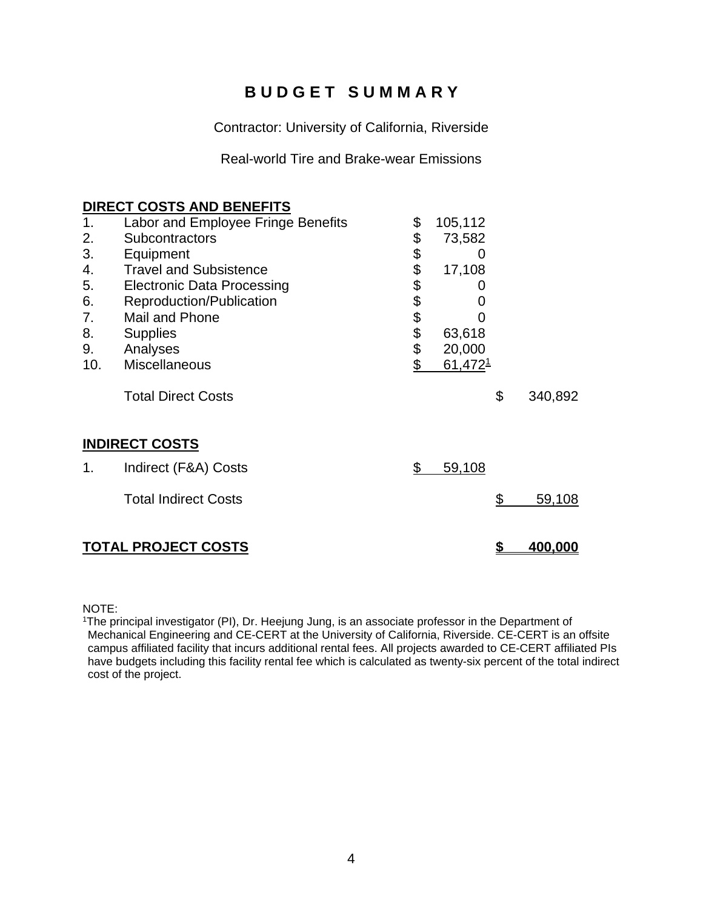# **B U D G E T S U M M A R Y**

Contractor: University of California, Riverside

Real-world Tire and Brake-wear Emissions

#### **DIRECT COSTS AND BENEFITS**

| 1.  | Labor and Employee Fringe Benefits | \$       | 105,112             |           |                |
|-----|------------------------------------|----------|---------------------|-----------|----------------|
| 2.  | <b>Subcontractors</b>              | \$       | 73,582              |           |                |
| 3.  | Equipment                          | \$       | Ω                   |           |                |
| 4.  | <b>Travel and Subsistence</b>      |          | 17,108              |           |                |
| 5.  | <b>Electronic Data Processing</b>  |          |                     |           |                |
| 6.  | Reproduction/Publication           |          |                     |           |                |
| 7.  | Mail and Phone                     | \$\$\$\$ |                     |           |                |
| 8.  | <b>Supplies</b>                    | \$       | 63,618              |           |                |
| 9.  | Analyses                           | \$       | 20,000              |           |                |
| 10. | <b>Miscellaneous</b>               | \$       | 61,472 <sup>1</sup> |           |                |
|     | <b>Total Direct Costs</b>          |          |                     | \$        | 340,892        |
|     | <b>INDIRECT COSTS</b>              |          |                     |           |                |
| 1.  | Indirect (F&A) Costs               | \$       | 59,108              |           |                |
|     | <b>Total Indirect Costs</b>        |          |                     | <u>\$</u> | 59,108         |
|     | <b>TOTAL PROJECT COSTS</b>         |          |                     | \$        | <u>400,000</u> |

NOTE:

<sup>1</sup>The principal investigator (PI), Dr. Heejung Jung, is an associate professor in the Department of Mechanical Engineering and CE-CERT at the University of California, Riverside. CE-CERT is an offsite campus affiliated facility that incurs additional rental fees. All projects awarded to CE-CERT affiliated PIs have budgets including this facility rental fee which is calculated as twenty-six percent of the total indirect cost of the project.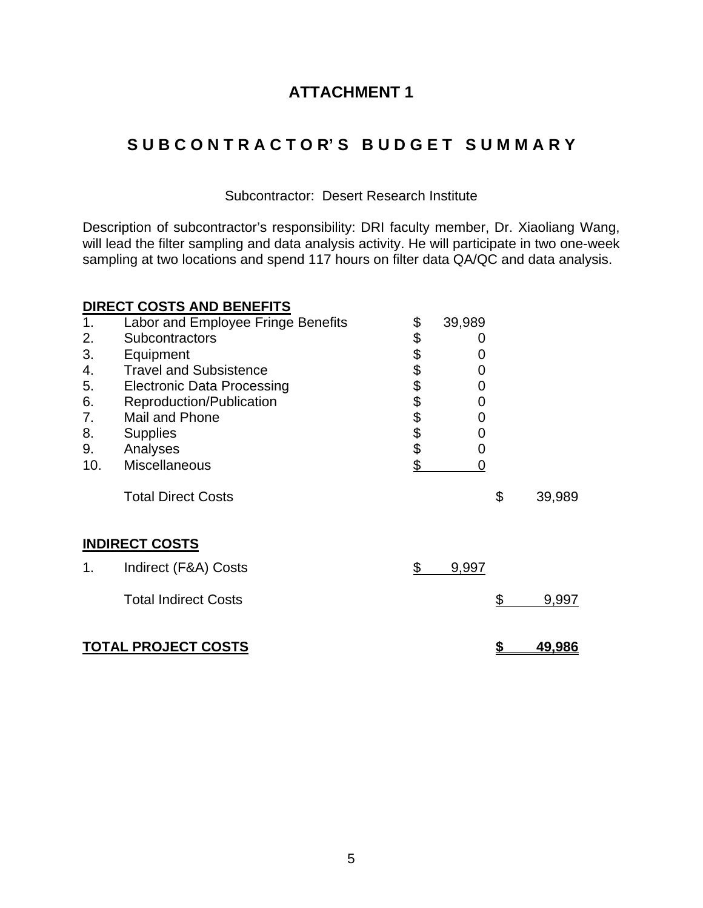# **ATTACHMENT 1**

# **S U B C O N T R A C T O R' S B U D G E T S U M M A R Y**

### Subcontractor: Desert Research Institute

Description of subcontractor's responsibility: DRI faculty member, Dr. Xiaoliang Wang, will lead the filter sampling and data analysis activity. He will participate in two one-week sampling at two locations and spend 117 hours on filter data QA/QC and data analysis.

|     | <b>DIRECT COSTS AND BENEFITS</b>   |                  |        |               |
|-----|------------------------------------|------------------|--------|---------------|
| 1.  | Labor and Employee Fringe Benefits | \$               | 39,989 |               |
| 2.  | <b>Subcontractors</b>              |                  |        |               |
| 3.  | Equipment                          | <b>888888888</b> | O)     |               |
| 4.  | <b>Travel and Subsistence</b>      |                  | 0      |               |
| 5.  | <b>Electronic Data Processing</b>  |                  | 0      |               |
| 6.  | Reproduction/Publication           |                  | 0      |               |
| 7.  | Mail and Phone                     |                  | 0      |               |
| 8.  | <b>Supplies</b>                    |                  | 0      |               |
| 9.  | Analyses                           |                  | 0      |               |
| 10. | Miscellaneous                      |                  | 0      |               |
|     | <b>Total Direct Costs</b>          |                  |        | \$<br>39,989  |
|     | <b>INDIRECT COSTS</b>              |                  |        |               |
| 1.  | Indirect (F&A) Costs               | \$               | 9,997  |               |
|     | <b>Total Indirect Costs</b>        |                  |        | \$<br>9,997   |
|     | <b>TOTAL PROJECT COSTS</b>         |                  |        | <u>49.986</u> |